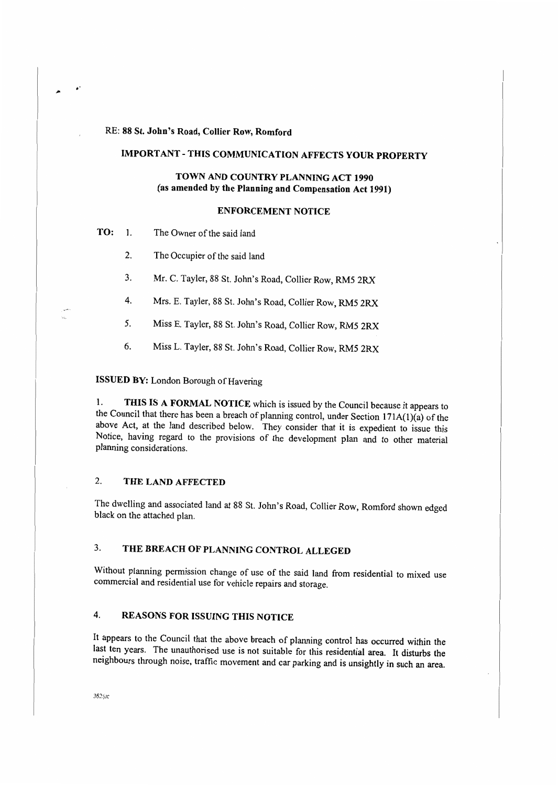#### RE: 88 St. John's Road, Collier Row, Romford

# **IMPORT ANT** - **THIS COMMUNICATION AFFECTS YOUR PROPERTY**

## **TOWN AND COUNTRY PLANNING ACT 1990 (as amended by the Planning and Compensation Act 1991)**

#### **ENFORCEMENT NOTICE**

**TO:** 1. The Owner of the said land

 $\ddot{\phantom{0}}$ .

- 2. The Occupier of the said land
- 3. Mr. C. Tayler, 88 St. John's Road, Collier Row, RM5 2RX
- 4. Mrs. E. Tayler, 88 St. John's Road, Collier Row, RM5 2RX
- *5.* Miss E. Tayler, 88 St. John's Road, Collier Row, RM5 2RX
- 6. Miss L. Tayler, 88 St. John's Road, Collier Row, RM5 2RX

## **ISSUED BY:** London Borough of Havering

1. **THIS IS A FORMAL NOTICE** which is issued by the Council because it appears to the Council that there has been a breach of planning control, under Section 171A(l)(a) of the above Act, at the land described below. They consider that it is expedient to issue this Notice, having regard to the provisions of the development plan and to other material planning considerations.

#### 2. **THE LAND AFFECTED**

The dwelling and associated land at 88 St. John's Road, Collier Row, Romford shown edged black on the attached plan.

# 3. **THE BREACH OF PLANNING CONTROL ALLEGED**

Without planning permission change of use of the said land from residential to mixed use commercial and residential use for vehicle repairs and storage.

## 4. **REASONS FOR ISSUING THIS NOTICE**

It appears to the Council that the above breach of planning control has occurred within the last ten years. The unauthorised use is not suitable for this residential area. It disturbs the neighbours through noise, traffic movement and car parking and is unsightly in such an area.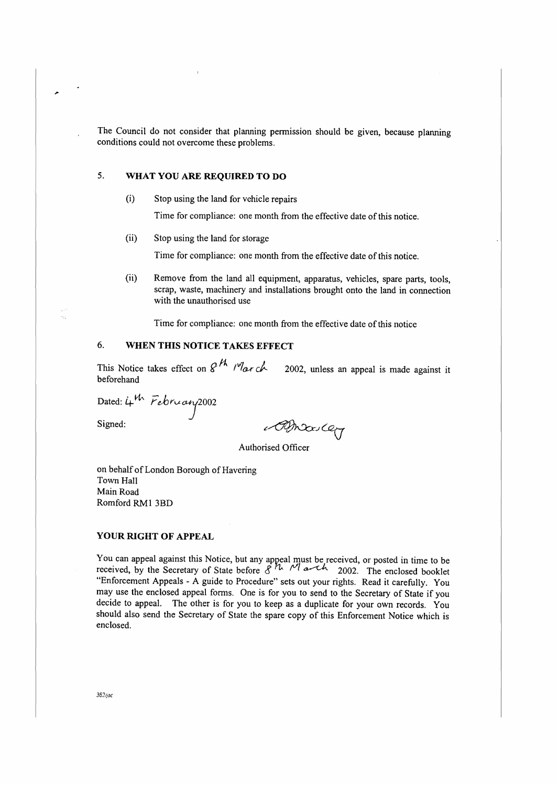The Council do not consider that planning permission should be given, because planning conditions could not overcome these problems.

### 5. **WHAT YOU ARE REQUIRED TO DO**

(i) Stop using the land for vehicle repairs

Time for compliance: one month from the effective date of this notice.

(ii) Stop using the land for storage

Time for compliance: one month from the effective date of this notice.

(ii) Remove from the land all equipment, apparatus, vehicles, spare parts, tools, scrap, waste, machinery and installations brought onto the land in connection with the unauthorised use

Time for compliance: one month from the effective date of this notice

### 6. **WHEN THIS NOTICE TAKES EFFECT**

This Notice takes effect on  $\mathscr{L}^{\mathcal{H}}$  *(<sup>v</sup>la<sub>t</sub> ch.* 2002, unless an appeal is made against it beforehand

Dated: 4th February 2002

Signed:

,.

Broder

Authorised Officer

on behalf of London Borough of Havering Town Hall Main Road Romford RMl 3BD

#### **YOUR RIGHT OF APPEAL**

You can appeal against this Notice, but any appeal must be received, or posted in time to be received, by the Secretary of State before  $\mathcal{S}^h$  *M*<sub>1</sub> and 2002. The enclosed booklet "Enforcement Appeals - A guide to Procedure" sets out your rights. Read it carefully. You may use the enclosed appeal forms. One is for you to send to the Secretary of State if you decide to appeal. The other is for you to keep as a duplicate for your own records. You should also send the Secretary of State the spare copy of this Enforcement Notice which is enclosed.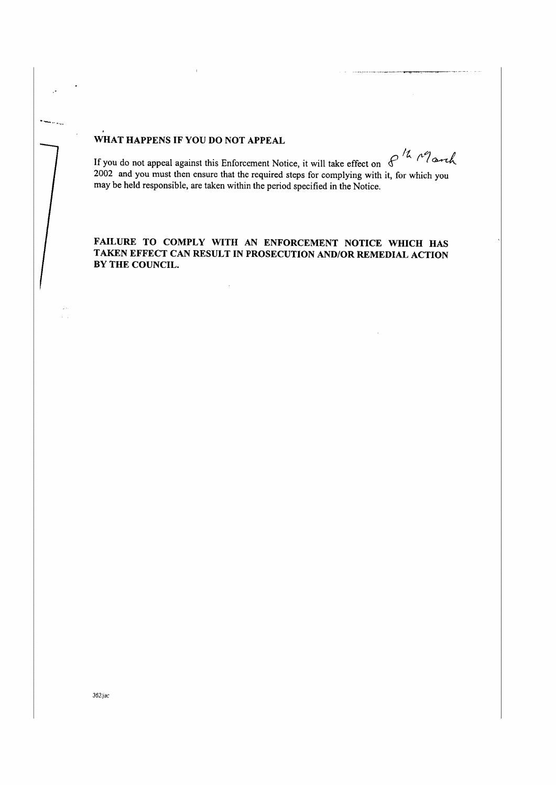### **WHAT HAPPENS IF YOU DO NOT APPEAL**

 $\overline{a}$ 

If you do not appeal against this Enforcement Notice, it will take effect on  $f^{\prime\lambda}$   $\sim$   $\ell$  arch 2002 and you must then ensure that the second is a set of  $\ell$ . 2002 and you must then ensure that the required steps for complying with it, for which you may be held responsible, are taken within the period specified in the Notice.

#### **FAILURE TO COMPLY WITH AN ENFORCEMENT NOTICE WHICH HAS TAKEN EFFECT CAN RESULT IN PROSECUTION AND/OR REMEDIAL ACTION BY THE COUNCIL.**

 $\sim 10$